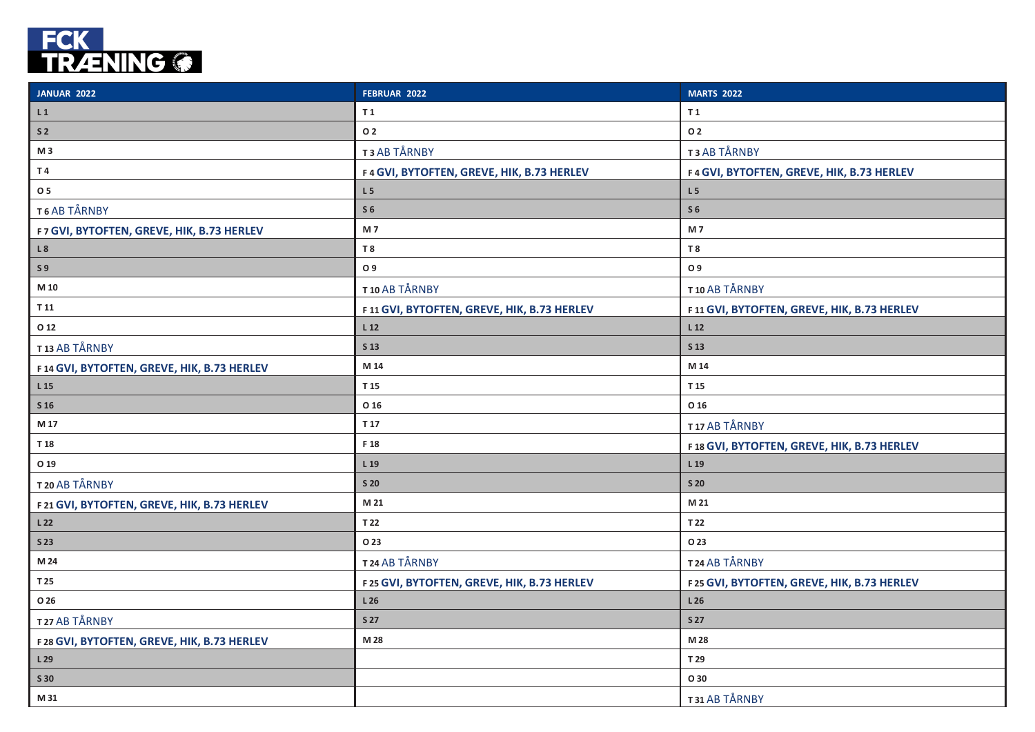

| <b>JANUAR 2022</b>                          | FEBRUAR 2022                               | <b>MARTS 2022</b>                          |
|---------------------------------------------|--------------------------------------------|--------------------------------------------|
| L1                                          | T 1                                        | T <sub>1</sub>                             |
| S <sub>2</sub>                              | <b>O2</b>                                  | <b>O2</b>                                  |
| M 3                                         | T3 AB TÅRNBY                               | T3 AB TÅRNBY                               |
| T4                                          | F4 GVI, BYTOFTEN, GREVE, HIK, B.73 HERLEV  | F4 GVI, BYTOFTEN, GREVE, HIK, B.73 HERLEV  |
| O 5                                         | L <sub>5</sub>                             | L <sub>5</sub>                             |
| T6 AB TÅRNBY                                | S <sub>6</sub>                             | S <sub>6</sub>                             |
| F7 GVI, BYTOFTEN, GREVE, HIK, B.73 HERLEV   | M 7                                        | M7                                         |
| L8                                          | T <sub>8</sub>                             | T 8                                        |
| S <sub>9</sub>                              | O 9                                        | O 9                                        |
| M 10                                        | T10 AB TÅRNBY                              | T10 AB TÅRNBY                              |
| T 11                                        | F11 GVI, BYTOFTEN, GREVE, HIK, B.73 HERLEV | F11 GVI, BYTOFTEN, GREVE, HIK, B.73 HERLEV |
| O 12                                        | L <sub>12</sub>                            | L 12                                       |
| T13 AB TÅRNBY                               | S 13                                       | S 13                                       |
| F14 GVI, BYTOFTEN, GREVE, HIK, B.73 HERLEV  | M 14                                       | M 14                                       |
| L 15                                        | T 15                                       | T 15                                       |
| S <sub>16</sub>                             | O 16                                       | O 16                                       |
| M 17                                        | T 17                                       | T17 AB TÅRNBY                              |
| T 18                                        | F 18                                       | F18 GVI, BYTOFTEN, GREVE, HIK, B.73 HERLEV |
| O 19                                        | L 19                                       | L 19                                       |
| T 20 AB TÅRNBY                              | <b>S 20</b>                                | <b>S 20</b>                                |
| F 21 GVI, BYTOFTEN, GREVE, HIK, B.73 HERLEV | M 21                                       | M 21                                       |
| L <sub>22</sub>                             | T 22                                       | T 22                                       |
| <b>S23</b>                                  | O 23                                       | O 23                                       |
| M 24                                        | T24 AB TÅRNBY                              | T24 AB TÅRNBY                              |
| T 25                                        | F25 GVI, BYTOFTEN, GREVE, HIK, B.73 HERLEV | F25 GVI, BYTOFTEN, GREVE, HIK, B.73 HERLEV |
| O 26                                        | L26                                        | L <sub>26</sub>                            |
| T27 AB TÅRNBY                               | <b>S27</b>                                 | <b>S27</b>                                 |
| F 28 GVI, BYTOFTEN, GREVE, HIK, B.73 HERLEV | M 28                                       | M 28                                       |
| L29                                         |                                            | T 29                                       |
| S 30                                        |                                            | O 30                                       |
| M 31                                        |                                            | T31 AB TÅRNBY                              |